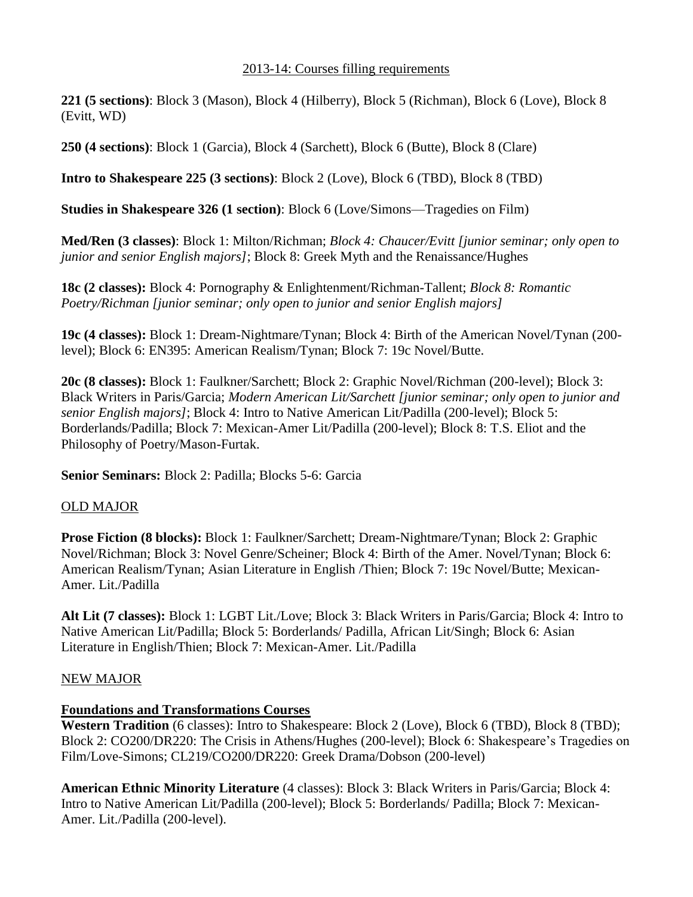### 2013-14: Courses filling requirements

**221 (5 sections)**: Block 3 (Mason), Block 4 (Hilberry), Block 5 (Richman), Block 6 (Love), Block 8 (Evitt, WD)

**250 (4 sections)**: Block 1 (Garcia), Block 4 (Sarchett), Block 6 (Butte), Block 8 (Clare)

**Intro to Shakespeare 225 (3 sections)**: Block 2 (Love), Block 6 (TBD), Block 8 (TBD)

**Studies in Shakespeare 326 (1 section)**: Block 6 (Love/Simons—Tragedies on Film)

**Med/Ren (3 classes)**: Block 1: Milton/Richman; *Block 4: Chaucer/Evitt [junior seminar; only open to junior and senior English majors]*; Block 8: Greek Myth and the Renaissance/Hughes

**18c (2 classes):** Block 4: Pornography & Enlightenment/Richman-Tallent; *Block 8: Romantic Poetry/Richman [junior seminar; only open to junior and senior English majors]*

**19c (4 classes):** Block 1: Dream-Nightmare/Tynan; Block 4: Birth of the American Novel/Tynan (200 level); Block 6: EN395: American Realism/Tynan; Block 7: 19c Novel/Butte.

**20c (8 classes):** Block 1: Faulkner/Sarchett; Block 2: Graphic Novel/Richman (200-level); Block 3: Black Writers in Paris/Garcia; *Modern American Lit/Sarchett [junior seminar; only open to junior and senior English majors]*; Block 4: Intro to Native American Lit/Padilla (200-level); Block 5: Borderlands/Padilla; Block 7: Mexican-Amer Lit/Padilla (200-level); Block 8: T.S. Eliot and the Philosophy of Poetry/Mason-Furtak.

**Senior Seminars:** Block 2: Padilla; Blocks 5-6: Garcia

## OLD MAJOR

**Prose Fiction (8 blocks):** Block 1: Faulkner/Sarchett; Dream-Nightmare/Tynan; Block 2: Graphic Novel/Richman; Block 3: Novel Genre/Scheiner; Block 4: Birth of the Amer. Novel/Tynan; Block 6: American Realism/Tynan; Asian Literature in English /Thien; Block 7: 19c Novel/Butte; Mexican-Amer. Lit./Padilla

**Alt Lit (7 classes):** Block 1: LGBT Lit./Love; Block 3: Black Writers in Paris/Garcia; Block 4: Intro to Native American Lit/Padilla; Block 5: Borderlands/ Padilla, African Lit/Singh; Block 6: Asian Literature in English/Thien; Block 7: Mexican-Amer. Lit./Padilla

# NEW MAJOR

# **Foundations and Transformations Courses**

**Western Tradition** (6 classes): Intro to Shakespeare: Block 2 (Love), Block 6 (TBD), Block 8 (TBD); Block 2: CO200/DR220: The Crisis in Athens/Hughes (200-level); Block 6: Shakespeare's Tragedies on Film/Love-Simons; CL219/CO200/DR220: Greek Drama/Dobson (200-level)

**American Ethnic Minority Literature** (4 classes): Block 3: Black Writers in Paris/Garcia; Block 4: Intro to Native American Lit/Padilla (200-level); Block 5: Borderlands/ Padilla; Block 7: Mexican-Amer. Lit./Padilla (200-level).